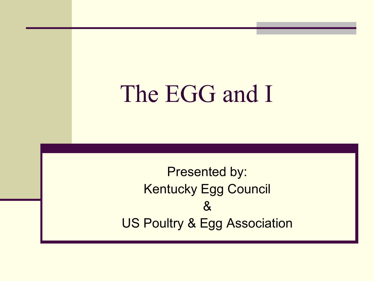The EGG and I

Presented by: Kentucky Egg Council & US Poultry & Egg Association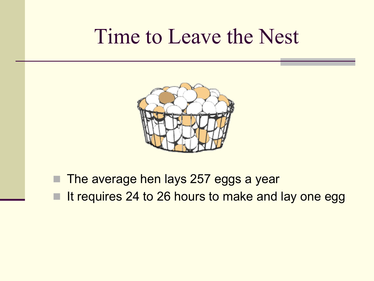#### Time to Leave the Nest



**The average hen lays 257 eggs a year** It requires 24 to 26 hours to make and lay one egg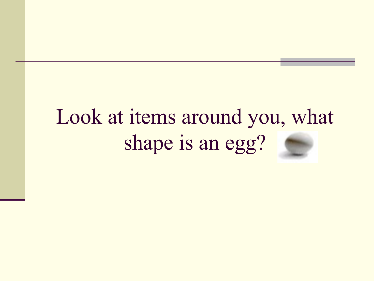## Look at items around you, what shape is an egg?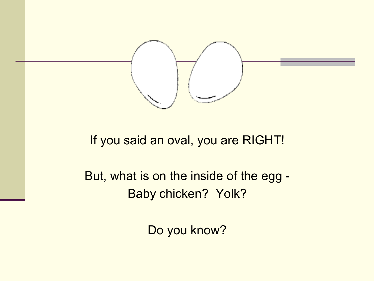

If you said an oval, you are RIGHT!

But, what is on the inside of the egg - Baby chicken? Yolk?

Do you know?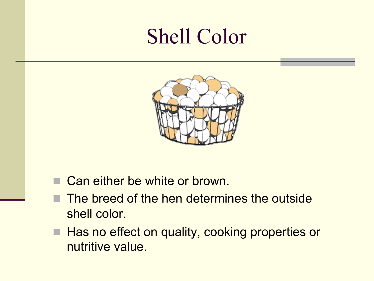### Shell Color



- Can either be white or brown.
- The breed of the hen determines the outside shell color.
- Has no effect on quality, cooking properties or nutritive value.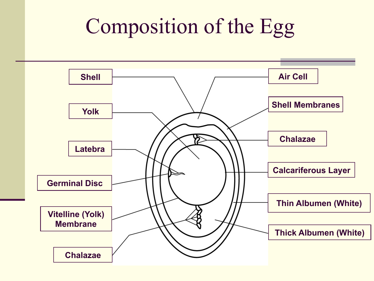## Composition of the Egg

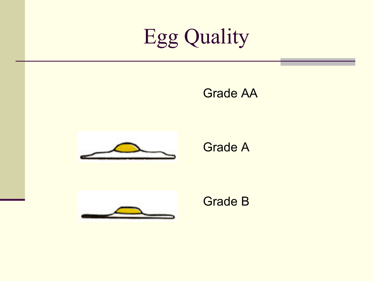# Egg Quality

Grade AA



Grade A



Grade B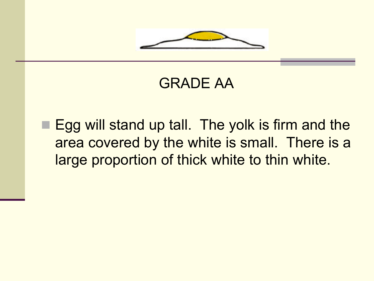

#### GRADE AA

■ Egg will stand up tall. The yolk is firm and the area covered by the white is small. There is a large proportion of thick white to thin white.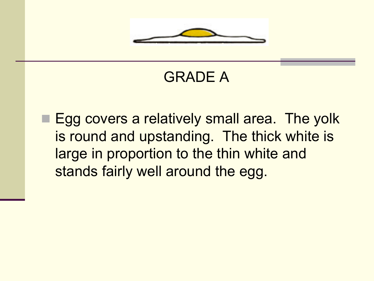

#### GRADE A

■ Egg covers a relatively small area. The yolk is round and upstanding. The thick white is large in proportion to the thin white and stands fairly well around the egg.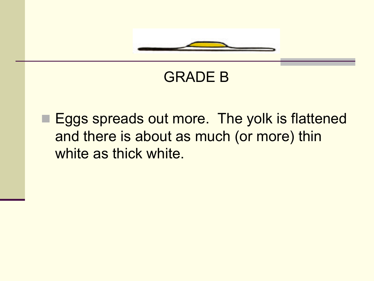

#### GRADE B

■ Eggs spreads out more. The yolk is flattened and there is about as much (or more) thin white as thick white.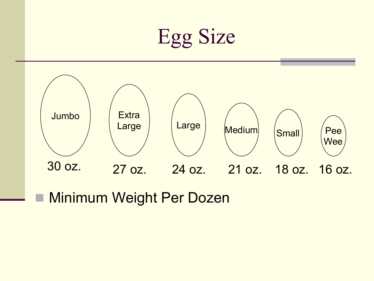



■ Minimum Weight Per Dozen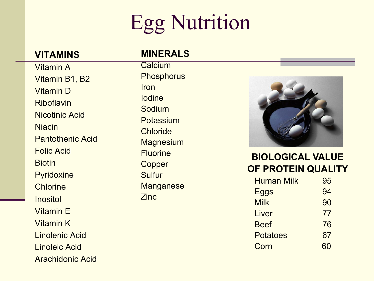## Egg Nutrition

#### **VITAMINS**

#### Vitamin A Vitamin B1, B2 Vitamin D Riboflavin Nicotinic Acid **Niacin** Pantothenic Acid Folic Acid **Biotin Pyridoxine** Chlorine **Inositol** Vitamin E Vitamin K Linolenic Acid Linoleic Acid

Arachidonic Acid

#### **MINERALS**

**Calcium Phosphorus Iron** Iodine Sodium Potassium Chloride **Magnesium Fluorine Copper** Sulfur **Manganese** Zinc



#### **BIOLOGICAL VALUE OF PROTEIN QUALITY**

| <b>Human Milk</b> | 95 |
|-------------------|----|
| Eggs              | 94 |
| <b>Milk</b>       | 90 |
| Liver             | 77 |
| <b>Beef</b>       | 76 |
| <b>Potatoes</b>   | 67 |
| Corn              | 60 |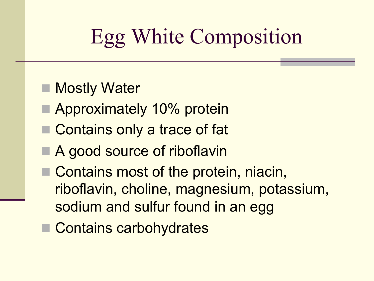## Egg White Composition

- **Nostly Water**
- **Approximately 10% protein**
- Contains only a trace of fat
- A good source of riboflavin
- Contains most of the protein, niacin, riboflavin, choline, magnesium, potassium, sodium and sulfur found in an egg
- Contains carbohydrates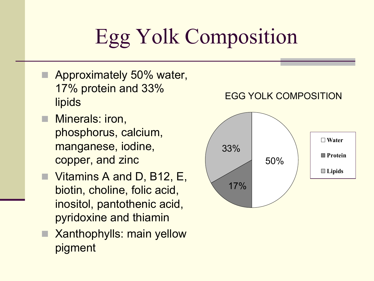# Egg Yolk Composition

- Approximately 50% water, 17% protein and 33% **lipids**
- Minerals: iron, phosphorus, calcium, manganese, iodine, copper, and zinc
- Vitamins A and D, B12, E, biotin, choline, folic acid, inositol, pantothenic acid, pyridoxine and thiamin
- $\blacksquare$  Xanthophylls: main yellow pigment

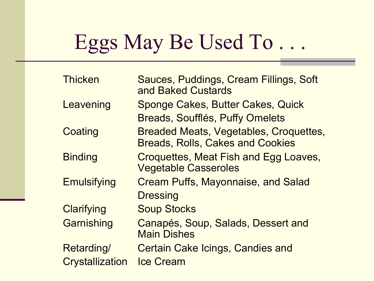### Eggs May Be Used To . . .

| <b>Thicken</b>         | Sauces, Puddings, Cream Fillings, Soft<br>and Baked Custards                             |
|------------------------|------------------------------------------------------------------------------------------|
| Leavening              | Sponge Cakes, Butter Cakes, Quick                                                        |
|                        | <b>Breads, Soufflés, Puffy Omelets</b>                                                   |
| Coating                | <b>Breaded Meats, Vegetables, Croquettes,</b><br><b>Breads, Rolls, Cakes and Cookies</b> |
| <b>Binding</b>         | Croquettes, Meat Fish and Egg Loaves,<br><b>Vegetable Casseroles</b>                     |
| <b>Emulsifying</b>     | <b>Cream Puffs, Mayonnaise, and Salad</b>                                                |
|                        | <b>Dressing</b>                                                                          |
| Clarifying             | <b>Soup Stocks</b>                                                                       |
| Garnishing             | Canapés, Soup, Salads, Dessert and<br><b>Main Dishes</b>                                 |
| Retarding/             | <b>Certain Cake Icings, Candies and</b>                                                  |
| <b>Crystallization</b> | <b>Ice Cream</b>                                                                         |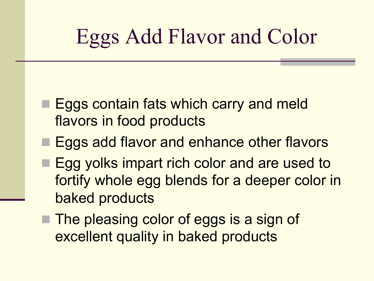## Eggs Add Flavor and Color

- Eggs contain fats which carry and meld flavors in food products
- Eggs add flavor and enhance other flavors
- Egg yolks impart rich color and are used to fortify whole egg blends for a deeper color in baked products
- $\blacksquare$  The pleasing color of eggs is a sign of excellent quality in baked products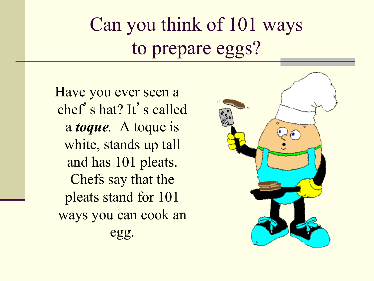### Can you think of 101 ways to prepare eggs?

Have you ever seen a chef's hat? It's called a *toque.* A toque is white, stands up tall and has 101 pleats. Chefs say that the pleats stand for 101 ways you can cook an egg.

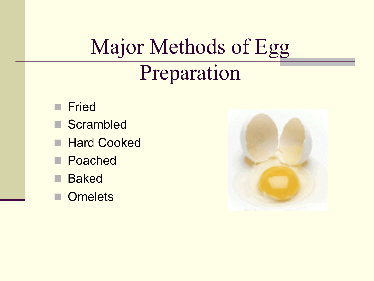## Major Methods of Egg Preparation

- **n** Fried
- Scrambled
- **Hard Cooked**
- Poached
- **n** Baked
- **Omelets**

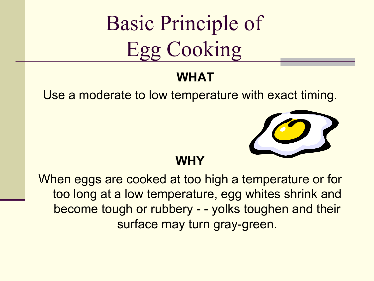Basic Principle of Egg Cooking

#### **WHAT**

Use a moderate to low temperature with exact timing.



**WHY** 

When eggs are cooked at too high a temperature or for too long at a low temperature, egg whites shrink and become tough or rubbery - - yolks toughen and their surface may turn gray-green.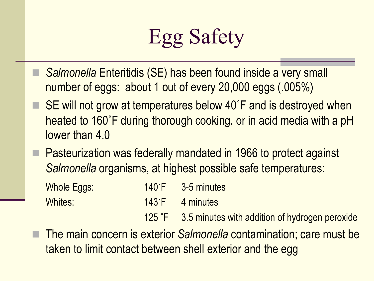

- n *Salmonella* Enteritidis (SE) has been found inside a very small number of eggs: about 1 out of every 20,000 eggs (.005%)
- SE will not grow at temperatures below 40°F and is destroyed when heated to 160˚F during thorough cooking, or in acid media with a pH lower than 4.0
- Pasteurization was federally mandated in 1966 to protect against *Salmonella* organisms, at highest possible safe temperatures:

| Whole Eggs: | $140^{\circ}$ F | 3-5 minutes     |
|-------------|-----------------|-----------------|
| Whites:     |                 | 143°F 4 minutes |

125 ˚F 3.5 minutes with addition of hydrogen peroxide

n The main concern is exterior *Salmonella* contamination; care must be taken to limit contact between shell exterior and the egg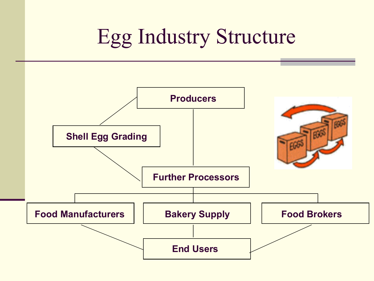### Egg Industry Structure

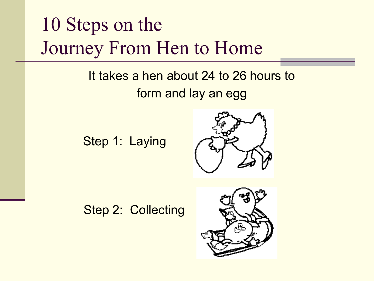#### 10 Steps on the Journey From Hen to Home

#### It takes a hen about 24 to 26 hours to form and lay an egg

Step 1: Laying



Step 2: Collecting

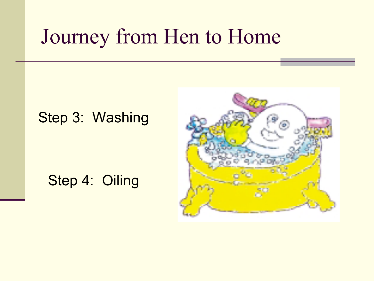#### Step 3: Washing

#### Step 4: Oiling

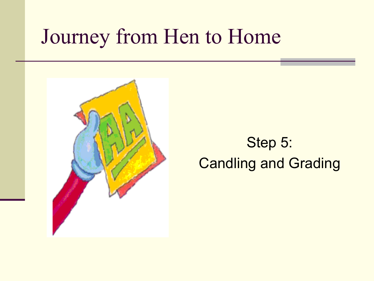

#### Step 5: Candling and Grading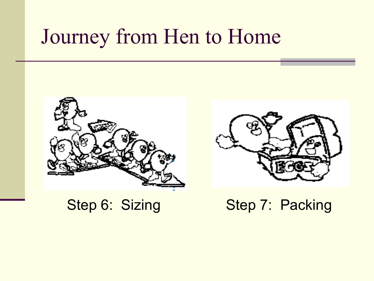



Step 6: Sizing Step 7: Packing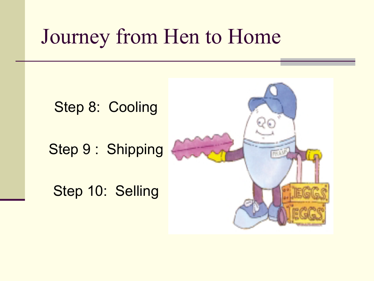Step 8: Cooling

Step 9 : Shipping

Step 10: Selling